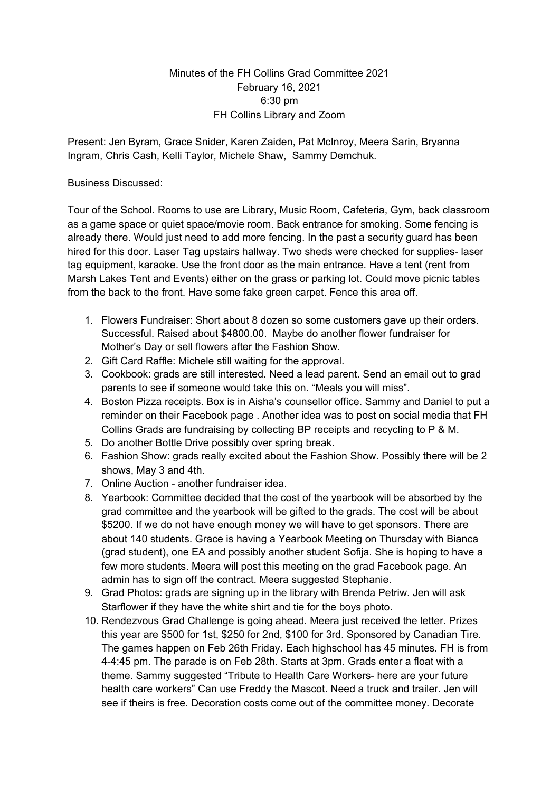## Minutes of the FH Collins Grad Committee 2021 February 16, 2021 6:30 pm FH Collins Library and Zoom

Present: Jen Byram, Grace Snider, Karen Zaiden, Pat McInroy, Meera Sarin, Bryanna Ingram, Chris Cash, Kelli Taylor, Michele Shaw, Sammy Demchuk.

## Business Discussed:

Tour of the School. Rooms to use are Library, Music Room, Cafeteria, Gym, back classroom as a game space or quiet space/movie room. Back entrance for smoking. Some fencing is already there. Would just need to add more fencing. In the past a security guard has been hired for this door. Laser Tag upstairs hallway. Two sheds were checked for supplies- laser tag equipment, karaoke. Use the front door as the main entrance. Have a tent (rent from Marsh Lakes Tent and Events) either on the grass or parking lot. Could move picnic tables from the back to the front. Have some fake green carpet. Fence this area off.

- 1. Flowers Fundraiser: Short about 8 dozen so some customers gave up their orders. Successful. Raised about \$4800.00. Maybe do another flower fundraiser for Mother's Day or sell flowers after the Fashion Show.
- 2. Gift Card Raffle: Michele still waiting for the approval.
- 3. Cookbook: grads are still interested. Need a lead parent. Send an email out to grad parents to see if someone would take this on. "Meals you will miss".
- 4. Boston Pizza receipts. Box is in Aisha's counsellor office. Sammy and Daniel to put a reminder on their Facebook page . Another idea was to post on social media that FH Collins Grads are fundraising by collecting BP receipts and recycling to P & M.
- 5. Do another Bottle Drive possibly over spring break.
- 6. Fashion Show: grads really excited about the Fashion Show. Possibly there will be 2 shows, May 3 and 4th.
- 7. Online Auction another fundraiser idea.
- 8. Yearbook: Committee decided that the cost of the yearbook will be absorbed by the grad committee and the yearbook will be gifted to the grads. The cost will be about \$5200. If we do not have enough money we will have to get sponsors. There are about 140 students. Grace is having a Yearbook Meeting on Thursday with Bianca (grad student), one EA and possibly another student Sofija. She is hoping to have a few more students. Meera will post this meeting on the grad Facebook page. An admin has to sign off the contract. Meera suggested Stephanie.
- 9. Grad Photos: grads are signing up in the library with Brenda Petriw. Jen will ask Starflower if they have the white shirt and tie for the boys photo.
- 10. Rendezvous Grad Challenge is going ahead. Meera just received the letter. Prizes this year are \$500 for 1st, \$250 for 2nd, \$100 for 3rd. Sponsored by Canadian Tire. The games happen on Feb 26th Friday. Each highschool has 45 minutes. FH is from 4-4:45 pm. The parade is on Feb 28th. Starts at 3pm. Grads enter a float with a theme. Sammy suggested "Tribute to Health Care Workers- here are your future health care workers" Can use Freddy the Mascot. Need a truck and trailer. Jen will see if theirs is free. Decoration costs come out of the committee money. Decorate